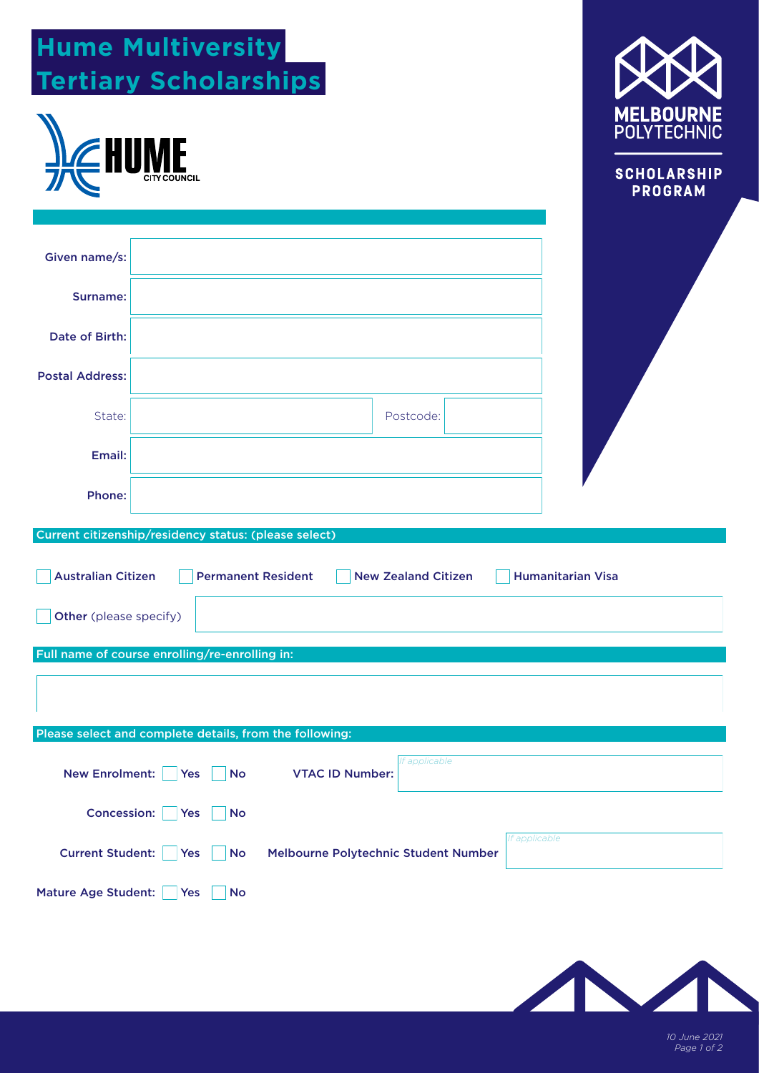| <b>Hume Multiversity</b><br><b>Tertiary Scholarships</b>                                                        |                                         |                                                                                |
|-----------------------------------------------------------------------------------------------------------------|-----------------------------------------|--------------------------------------------------------------------------------|
| <b>EHU</b>                                                                                                      |                                         | <b>MELBOURNE</b><br><b>POLYTECHNIC</b><br><b>SCHOLARSHIP</b><br><b>PROGRAM</b> |
| Given name/s:                                                                                                   |                                         |                                                                                |
| <b>Surname:</b>                                                                                                 |                                         |                                                                                |
| Date of Birth:                                                                                                  |                                         |                                                                                |
| <b>Postal Address:</b>                                                                                          |                                         |                                                                                |
| State:                                                                                                          | Postcode:                               |                                                                                |
| Email:                                                                                                          |                                         |                                                                                |
| Phone:                                                                                                          |                                         |                                                                                |
| Current citizenship/residency status: (please select)<br><b>Australian Citizen</b><br><b>Permanent Resident</b> | <b>New Zealand Citizen</b>              | <b>Humanitarian Visa</b>                                                       |
| Other (please specify)                                                                                          |                                         |                                                                                |
| Full name of course enrolling/re-enrolling in:<br>Please select and complete details, from the following:       |                                         |                                                                                |
| <b>New Enrolment:</b><br>Yes<br><b>No</b>                                                                       | If applicable<br><b>VTAC ID Number:</b> |                                                                                |
| <b>Concession:</b><br>Yes<br><b>No</b>                                                                          |                                         |                                                                                |
| <b>Current Student:</b><br>Yes<br><b>No</b>                                                                     | Melbourne Polytechnic Student Number    | If applicable                                                                  |
| <b>Mature Age Student:</b><br>Yes<br><b>No</b>                                                                  |                                         |                                                                                |



*10 June 2021 Page 1 of 2*